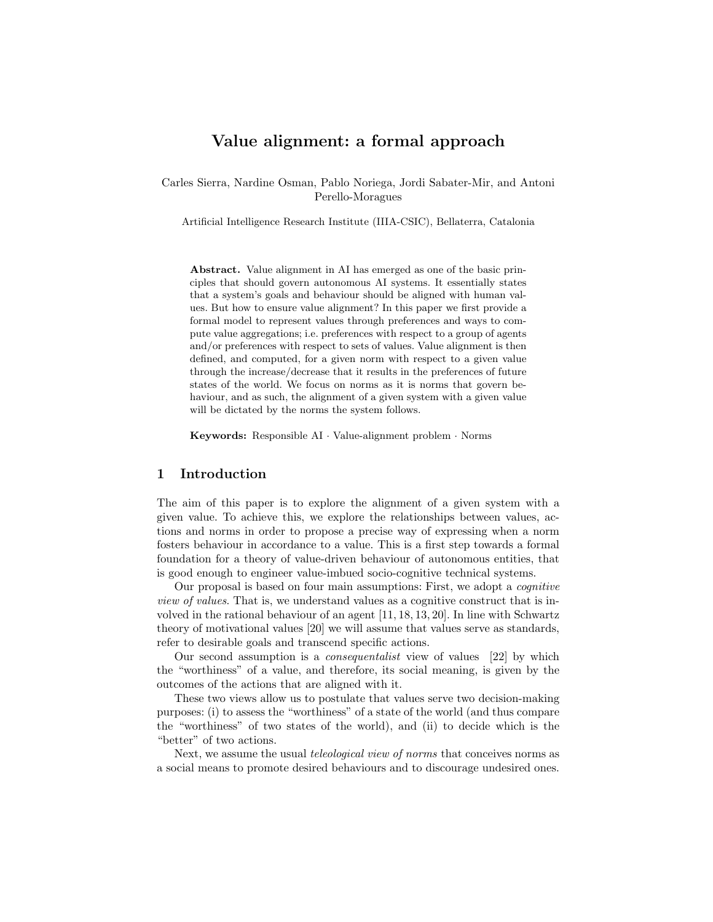# Value alignment: a formal approach

Carles Sierra, Nardine Osman, Pablo Noriega, Jordi Sabater-Mir, and Antoni Perello-Moragues

Artificial Intelligence Research Institute (IIIA-CSIC), Bellaterra, Catalonia

Abstract. Value alignment in AI has emerged as one of the basic principles that should govern autonomous AI systems. It essentially states that a system's goals and behaviour should be aligned with human values. But how to ensure value alignment? In this paper we first provide a formal model to represent values through preferences and ways to compute value aggregations; i.e. preferences with respect to a group of agents and/or preferences with respect to sets of values. Value alignment is then defined, and computed, for a given norm with respect to a given value through the increase/decrease that it results in the preferences of future states of the world. We focus on norms as it is norms that govern behaviour, and as such, the alignment of a given system with a given value will be dictated by the norms the system follows.

Keywords: Responsible AI · Value-alignment problem · Norms

# 1 Introduction

The aim of this paper is to explore the alignment of a given system with a given value. To achieve this, we explore the relationships between values, actions and norms in order to propose a precise way of expressing when a norm fosters behaviour in accordance to a value. This is a first step towards a formal foundation for a theory of value-driven behaviour of autonomous entities, that is good enough to engineer value-imbued socio-cognitive technical systems.

Our proposal is based on four main assumptions: First, we adopt a cognitive view of values. That is, we understand values as a cognitive construct that is involved in the rational behaviour of an agent [11, 18, 13, 20]. In line with Schwartz theory of motivational values [20] we will assume that values serve as standards, refer to desirable goals and transcend specific actions.

Our second assumption is a consequentalist view of values [22] by which the "worthiness" of a value, and therefore, its social meaning, is given by the outcomes of the actions that are aligned with it.

These two views allow us to postulate that values serve two decision-making purposes: (i) to assess the "worthiness" of a state of the world (and thus compare the "worthiness" of two states of the world), and (ii) to decide which is the "better" of two actions.

Next, we assume the usual teleological view of norms that conceives norms as a social means to promote desired behaviours and to discourage undesired ones.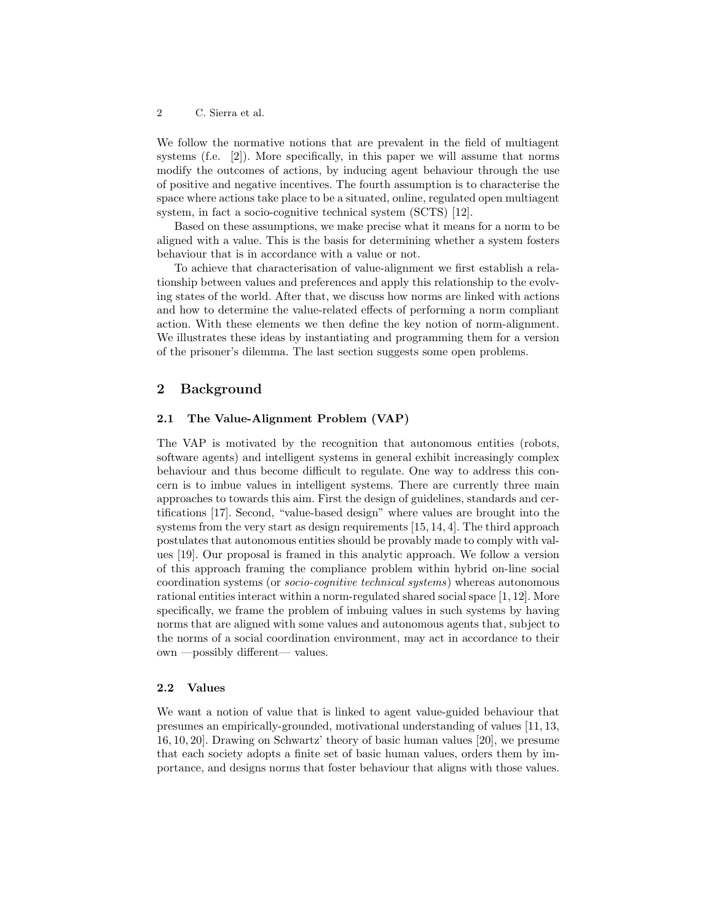We follow the normative notions that are prevalent in the field of multiagent systems (f.e. [2]). More specifically, in this paper we will assume that norms modify the outcomes of actions, by inducing agent behaviour through the use of positive and negative incentives. The fourth assumption is to characterise the space where actions take place to be a situated, online, regulated open multiagent system, in fact a socio-cognitive technical system (SCTS) [12].

Based on these assumptions, we make precise what it means for a norm to be aligned with a value. This is the basis for determining whether a system fosters behaviour that is in accordance with a value or not.

To achieve that characterisation of value-alignment we first establish a relationship between values and preferences and apply this relationship to the evolving states of the world. After that, we discuss how norms are linked with actions and how to determine the value-related effects of performing a norm compliant action. With these elements we then define the key notion of norm-alignment. We illustrates these ideas by instantiating and programming them for a version of the prisoner's dilemma. The last section suggests some open problems.

# 2 Background

## 2.1 The Value-Alignment Problem (VAP)

The VAP is motivated by the recognition that autonomous entities (robots, software agents) and intelligent systems in general exhibit increasingly complex behaviour and thus become difficult to regulate. One way to address this concern is to imbue values in intelligent systems. There are currently three main approaches to towards this aim. First the design of guidelines, standards and certifications [17]. Second, "value-based design" where values are brought into the systems from the very start as design requirements [15, 14, 4]. The third approach postulates that autonomous entities should be provably made to comply with values [19]. Our proposal is framed in this analytic approach. We follow a version of this approach framing the compliance problem within hybrid on-line social coordination systems (or socio-cognitive technical systems) whereas autonomous rational entities interact within a norm-regulated shared social space [1, 12]. More specifically, we frame the problem of imbuing values in such systems by having norms that are aligned with some values and autonomous agents that, subject to the norms of a social coordination environment, may act in accordance to their own —possibly different— values.

### 2.2 Values

We want a notion of value that is linked to agent value-guided behaviour that presumes an empirically-grounded, motivational understanding of values [11, 13, 16, 10, 20]. Drawing on Schwartz' theory of basic human values [20], we presume that each society adopts a finite set of basic human values, orders them by importance, and designs norms that foster behaviour that aligns with those values.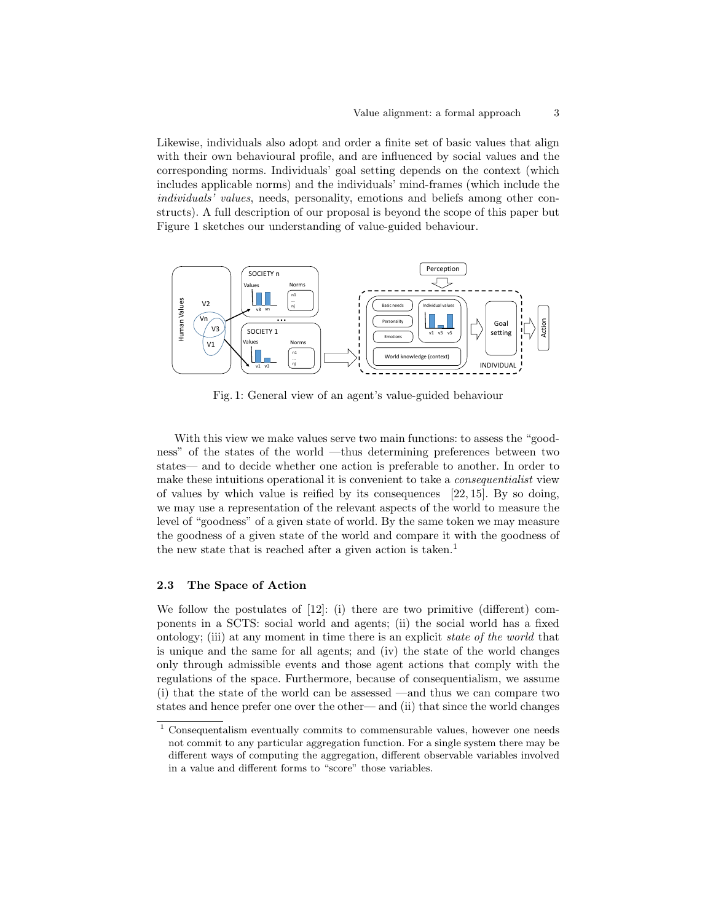Likewise, individuals also adopt and order a finite set of basic values that align with their own behavioural profile, and are influenced by social values and the corresponding norms. Individuals' goal setting depends on the context (which includes applicable norms) and the individuals' mind-frames (which include the individuals' values, needs, personality, emotions and beliefs among other constructs). A full description of our proposal is beyond the scope of this paper but Figure 1 sketches our understanding of value-guided behaviour.



Fig. 1: General view of an agent's value-guided behaviour

With this view we make values serve two main functions: to assess the "goodness" of the states of the world —thus determining preferences between two states— and to decide whether one action is preferable to another. In order to make these intuitions operational it is convenient to take a consequentialist view of values by which value is reified by its consequences [22, 15]. By so doing, we may use a representation of the relevant aspects of the world to measure the level of "goodness" of a given state of world. By the same token we may measure the goodness of a given state of the world and compare it with the goodness of the new state that is reached after a given action is taken.<sup>1</sup>

### 2.3 The Space of Action

We follow the postulates of [12]: (i) there are two primitive (different) components in a SCTS: social world and agents; (ii) the social world has a fixed ontology; (iii) at any moment in time there is an explicit state of the world that is unique and the same for all agents; and (iv) the state of the world changes only through admissible events and those agent actions that comply with the regulations of the space. Furthermore, because of consequentialism, we assume (i) that the state of the world can be assessed —and thus we can compare two states and hence prefer one over the other— and (ii) that since the world changes

<sup>&</sup>lt;sup>1</sup> Consequentalism eventually commits to commensurable values, however one needs not commit to any particular aggregation function. For a single system there may be different ways of computing the aggregation, different observable variables involved in a value and different forms to "score" those variables.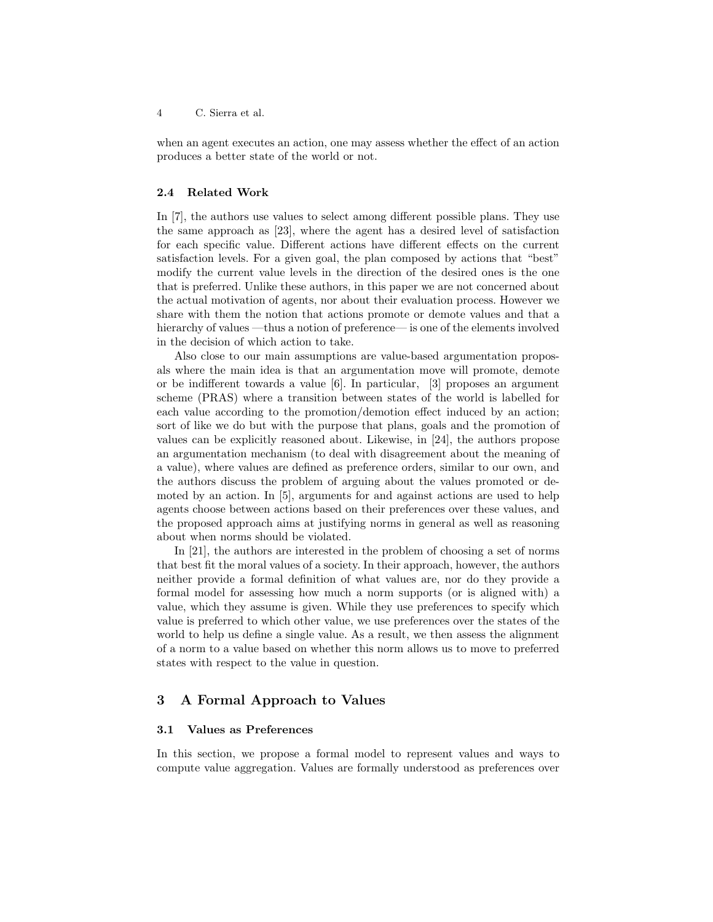when an agent executes an action, one may assess whether the effect of an action produces a better state of the world or not.

### 2.4 Related Work

In [7], the authors use values to select among different possible plans. They use the same approach as [23], where the agent has a desired level of satisfaction for each specific value. Different actions have different effects on the current satisfaction levels. For a given goal, the plan composed by actions that "best" modify the current value levels in the direction of the desired ones is the one that is preferred. Unlike these authors, in this paper we are not concerned about the actual motivation of agents, nor about their evaluation process. However we share with them the notion that actions promote or demote values and that a hierarchy of values —thus a notion of preference— is one of the elements involved in the decision of which action to take.

Also close to our main assumptions are value-based argumentation proposals where the main idea is that an argumentation move will promote, demote or be indifferent towards a value [6]. In particular, [3] proposes an argument scheme (PRAS) where a transition between states of the world is labelled for each value according to the promotion/demotion effect induced by an action; sort of like we do but with the purpose that plans, goals and the promotion of values can be explicitly reasoned about. Likewise, in [24], the authors propose an argumentation mechanism (to deal with disagreement about the meaning of a value), where values are defined as preference orders, similar to our own, and the authors discuss the problem of arguing about the values promoted or demoted by an action. In [5], arguments for and against actions are used to help agents choose between actions based on their preferences over these values, and the proposed approach aims at justifying norms in general as well as reasoning about when norms should be violated.

In [21], the authors are interested in the problem of choosing a set of norms that best fit the moral values of a society. In their approach, however, the authors neither provide a formal definition of what values are, nor do they provide a formal model for assessing how much a norm supports (or is aligned with) a value, which they assume is given. While they use preferences to specify which value is preferred to which other value, we use preferences over the states of the world to help us define a single value. As a result, we then assess the alignment of a norm to a value based on whether this norm allows us to move to preferred states with respect to the value in question.

# 3 A Formal Approach to Values

#### 3.1 Values as Preferences

In this section, we propose a formal model to represent values and ways to compute value aggregation. Values are formally understood as preferences over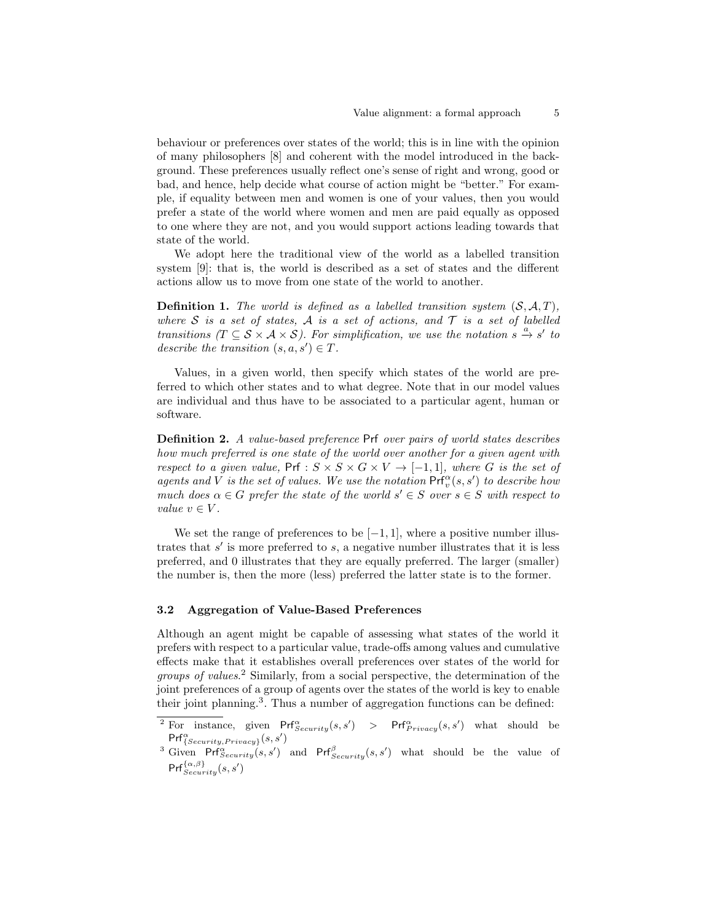behaviour or preferences over states of the world; this is in line with the opinion of many philosophers [8] and coherent with the model introduced in the background. These preferences usually reflect one's sense of right and wrong, good or bad, and hence, help decide what course of action might be "better." For example, if equality between men and women is one of your values, then you would prefer a state of the world where women and men are paid equally as opposed to one where they are not, and you would support actions leading towards that state of the world.

We adopt here the traditional view of the world as a labelled transition system [9]: that is, the world is described as a set of states and the different actions allow us to move from one state of the world to another.

**Definition 1.** The world is defined as a labelled transition system  $(S, \mathcal{A}, T)$ , where S is a set of states, A is a set of actions, and  $\mathcal T$  is a set of labelled transitions  $(T \subseteq S \times A \times S)$ . For simplification, we use the notation  $S \stackrel{a}{\rightarrow} S'$  to describe the transition  $(s, a, s') \in T$ .

Values, in a given world, then specify which states of the world are preferred to which other states and to what degree. Note that in our model values are individual and thus have to be associated to a particular agent, human or software.

Definition 2. A value-based preference Prf over pairs of world states describes how much preferred is one state of the world over another for a given agent with respect to a given value,  $Prf: S \times S \times G \times V \rightarrow [-1,1]$ , where G is the set of agents and V is the set of values. We use the notation  $\Pr_{v}^{\alpha}(s, s')$  to describe how much does  $\alpha \in G$  prefer the state of the world  $s' \in S$  over  $s \in S$  with respect to value  $v \in V$ .

We set the range of preferences to be  $[-1, 1]$ , where a positive number illustrates that  $s'$  is more preferred to  $s$ , a negative number illustrates that it is less preferred, and 0 illustrates that they are equally preferred. The larger (smaller) the number is, then the more (less) preferred the latter state is to the former.

# 3.2 Aggregation of Value-Based Preferences

Although an agent might be capable of assessing what states of the world it prefers with respect to a particular value, trade-offs among values and cumulative effects make that it establishes overall preferences over states of the world for groups of values. <sup>2</sup> Similarly, from a social perspective, the determination of the joint preferences of a group of agents over the states of the world is key to enable their joint planning.<sup>3</sup>. Thus a number of aggregation functions can be defined:

<sup>&</sup>lt;sup>2</sup> For instance, given  $Pr_{Security}^{\alpha}(s, s')$  >  $Pr_{Primary}^{\alpha}(s, s')$  what should be  $\mathsf{Prf}_{\{Security, Privacy\}}^{\alpha}(s, s')$ 

<sup>&</sup>lt;sup>3</sup> Given Prf $\hat{S}_{security}(s, s')$  and Prf $\hat{S}_{security}(s, s')$  what should be the value of  $\mathsf{Prf}_{Security}^{\{\alpha,\beta\}}(s,s')$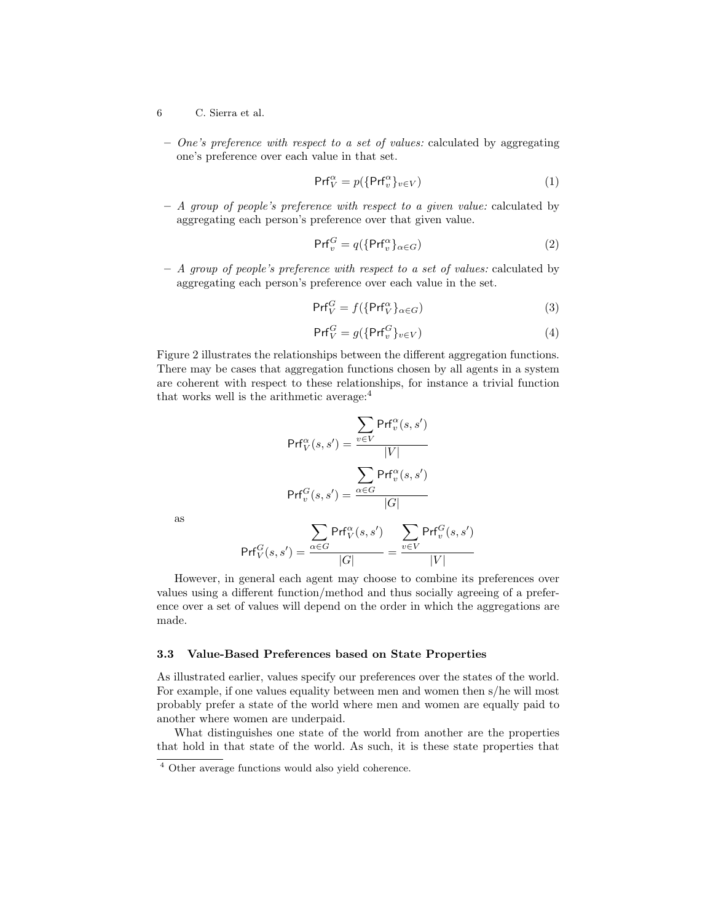- 6 C. Sierra et al.
- $-$  One's preference with respect to a set of values: calculated by aggregating one's preference over each value in that set.

$$
\mathsf{Prf}_V^{\alpha} = p(\{\mathsf{Prf}_v^{\alpha}\}_{v \in V})
$$
\n(1)

– A group of people's preference with respect to a given value: calculated by aggregating each person's preference over that given value.

$$
\mathsf{Prf}_{v}^{G} = q(\{\mathsf{Prf}_{v}^{\alpha}\}_{\alpha \in G})
$$
\n(2)

– A group of people's preference with respect to a set of values: calculated by aggregating each person's preference over each value in the set.

$$
\Pr V^G = f(\{\Pr V^{\alpha} \}_{\alpha \in G}) \tag{3}
$$

$$
\Pr V^G = g(\{ \Pr V^G_v \}_{v \in V}) \tag{4}
$$

Figure 2 illustrates the relationships between the different aggregation functions. There may be cases that aggregation functions chosen by all agents in a system are coherent with respect to these relationships, for instance a trivial function that works well is the arithmetic average:<sup>4</sup>

$$
\Pr{f_V^{\alpha}(s, s') = \frac{\sum_{v \in V} \Pr{f_v^{\alpha}(s, s')}}{|V|}}
$$

$$
\Pr{f_v^G(s, s') = \frac{\sum_{\alpha \in G} \Pr{f_v^{\alpha}(s, s')}}
$$

as

$$
\mathsf{Prf}_{V}^{G}(s, s') = \frac{\displaystyle\sum_{\alpha \in G} \mathsf{Prf}_{V}^{\alpha}(s, s')}{|G|} = \frac{\displaystyle\sum_{v \in V} \mathsf{Prf}_{v}^{G}(s, s')}{|V|}
$$

However, in general each agent may choose to combine its preferences over values using a different function/method and thus socially agreeing of a preference over a set of values will depend on the order in which the aggregations are made.

### 3.3 Value-Based Preferences based on State Properties

As illustrated earlier, values specify our preferences over the states of the world. For example, if one values equality between men and women then s/he will most probably prefer a state of the world where men and women are equally paid to another where women are underpaid.

What distinguishes one state of the world from another are the properties that hold in that state of the world. As such, it is these state properties that

<sup>4</sup> Other average functions would also yield coherence.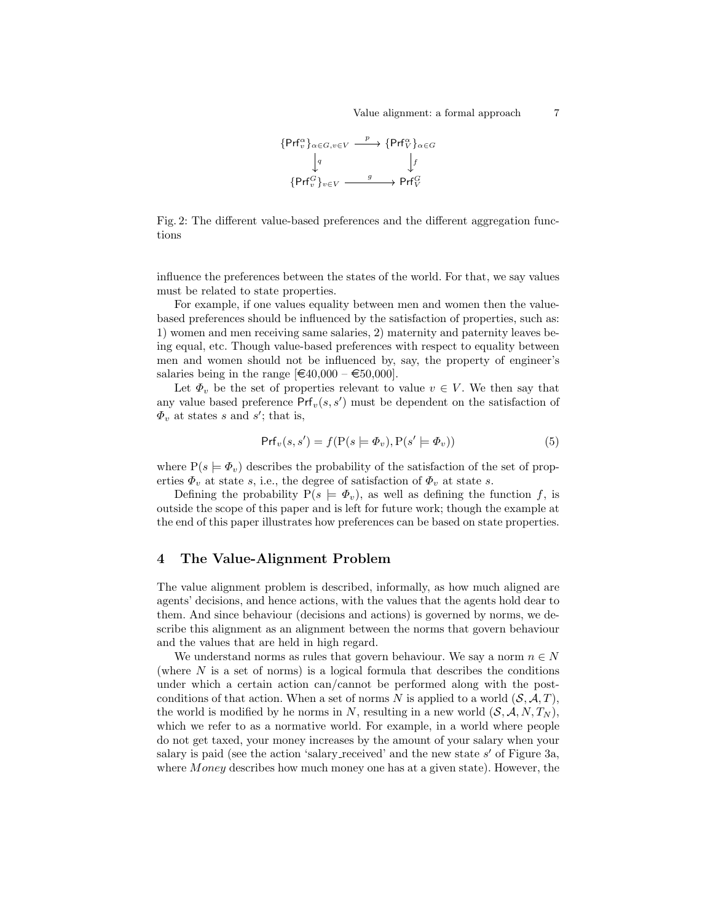

Fig. 2: The different value-based preferences and the different aggregation functions

influence the preferences between the states of the world. For that, we say values must be related to state properties.

For example, if one values equality between men and women then the valuebased preferences should be influenced by the satisfaction of properties, such as: 1) women and men receiving same salaries, 2) maternity and paternity leaves being equal, etc. Though value-based preferences with respect to equality between men and women should not be influenced by, say, the property of engineer's salaries being in the range  $[\text{\textsterling}40,000 - \text{\textsterling}50,000]$ .

Let  $\Phi_v$  be the set of properties relevant to value  $v \in V$ . We then say that any value based preference  $Prf_v(s, s')$  must be dependent on the satisfaction of  $\Phi_v$  at states s and s'; that is,

$$
Pr{v(s, s') = f(P(s \models \Phi_v), P(s' \models \Phi_v))}
$$
\n(5)

where  $P(s \models \Phi_v)$  describes the probability of the satisfaction of the set of properties  $\Phi_v$  at state s, i.e., the degree of satisfaction of  $\Phi_v$  at state s.

Defining the probability  $P(s = \Phi_v)$ , as well as defining the function f, is outside the scope of this paper and is left for future work; though the example at the end of this paper illustrates how preferences can be based on state properties.

# 4 The Value-Alignment Problem

The value alignment problem is described, informally, as how much aligned are agents' decisions, and hence actions, with the values that the agents hold dear to them. And since behaviour (decisions and actions) is governed by norms, we describe this alignment as an alignment between the norms that govern behaviour and the values that are held in high regard.

We understand norms as rules that govern behaviour. We say a norm  $n \in N$ (where  $N$  is a set of norms) is a logical formula that describes the conditions under which a certain action can/cannot be performed along with the postconditions of that action. When a set of norms N is applied to a world  $(S, \mathcal{A}, T)$ , the world is modified by he norms in N, resulting in a new world  $(S, \mathcal{A}, N, T_N)$ , which we refer to as a normative world. For example, in a world where people do not get taxed, your money increases by the amount of your salary when your salary is paid (see the action 'salary received' and the new state  $s'$  of Figure 3a, where *Money* describes how much money one has at a given state). However, the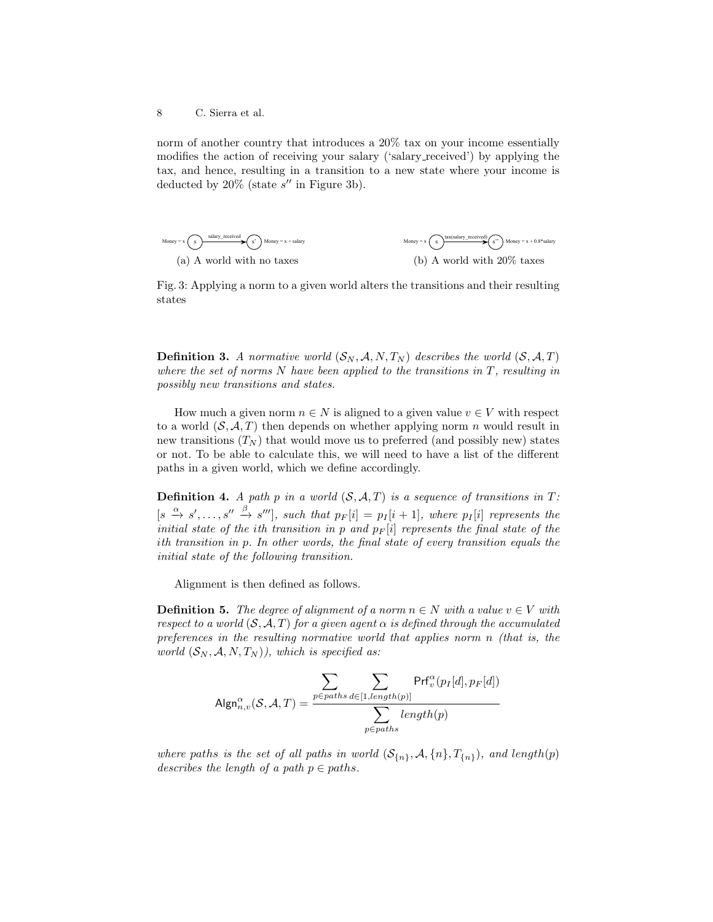norm of another country that introduces a 20% tax on your income essentially modifies the action of receiving your salary ('salary received') by applying the tax, and hence, resulting in a transition to a new state where your income is deducted by  $20\%$  (state  $s''$  in Figure 3b).



Fig. 3: Applying a norm to a given world alters the transitions and their resulting states

**Definition 3.** A normative world  $(S_N, A, N, T_N)$  describes the world  $(S, A, T)$ where the set of norms  $N$  have been applied to the transitions in  $T$ , resulting in possibly new transitions and states.

How much a given norm  $n \in N$  is aligned to a given value  $v \in V$  with respect to a world  $(S, \mathcal{A}, T)$  then depends on whether applying norm n would result in new transitions  $(T_N)$  that would move us to preferred (and possibly new) states or not. To be able to calculate this, we will need to have a list of the different paths in a given world, which we define accordingly.

**Definition 4.** A path p in a world  $(S, \mathcal{A}, T)$  is a sequence of transitions in T:  $[s \stackrel{\alpha}{\to} s', \ldots, s'' \stackrel{\beta}{\to} s''']$ , such that  $p_F[i] = p_I[i+1]$ , where  $p_I[i]$  represents the initial state of the ith transition in p and  $p_F[i]$  represents the final state of the ith transition in p. In other words, the final state of every transition equals the initial state of the following transition.

Alignment is then defined as follows.

**Definition 5.** The degree of alignment of a norm  $n \in N$  with a value  $v \in V$  with respect to a world  $(S, \mathcal{A}, T)$  for a given agent  $\alpha$  is defined through the accumulated preferences in the resulting normative world that applies norm n (that is, the world  $(S_N, \mathcal{A}, N, T_N)$ , which is specified as:

$$
\mathsf{Algn}^{\alpha}_{n,v}(\mathcal{S},\mathcal{A},T) = \frac{\displaystyle\sum_{p \in paths} \displaystyle\sum_{d \in [1,length(p)]} \mathsf{Prf}^{\alpha}_v(p_I[d],p_F[d])}{\displaystyle\sum_{p \in paths} length(p)}
$$

where paths is the set of all paths in world  $(S_{n}, A, \{n\}, T_{n})$ , and length(p) describes the length of a path  $p \in paths$ .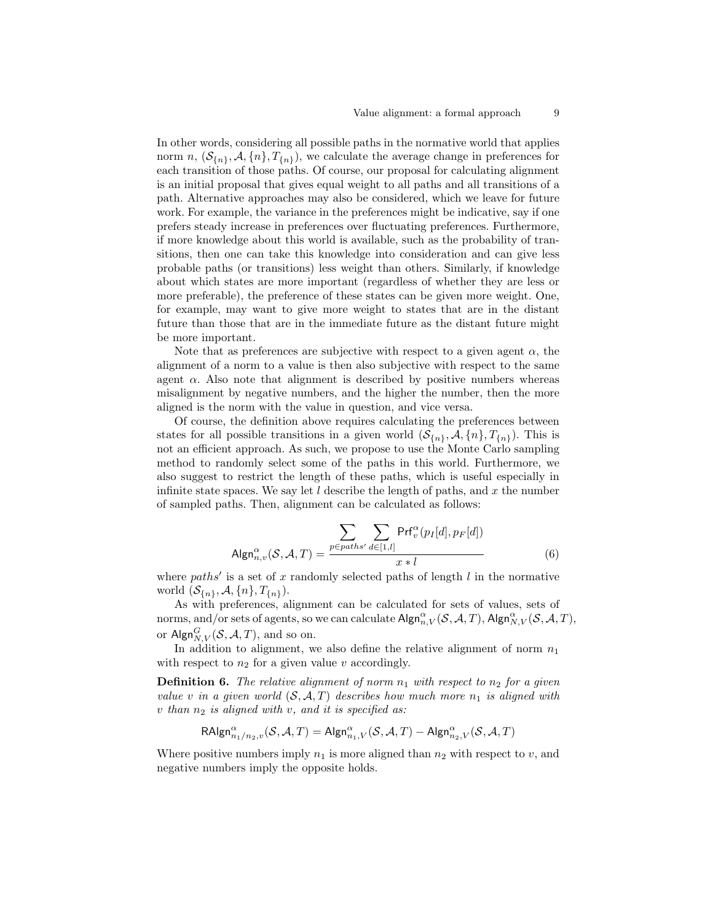In other words, considering all possible paths in the normative world that applies norm n,  $(\mathcal{S}_{\{n\}}, \mathcal{A}, \{n\}, T_{\{n\}})$ , we calculate the average change in preferences for each transition of those paths. Of course, our proposal for calculating alignment is an initial proposal that gives equal weight to all paths and all transitions of a path. Alternative approaches may also be considered, which we leave for future work. For example, the variance in the preferences might be indicative, say if one prefers steady increase in preferences over fluctuating preferences. Furthermore, if more knowledge about this world is available, such as the probability of transitions, then one can take this knowledge into consideration and can give less probable paths (or transitions) less weight than others. Similarly, if knowledge about which states are more important (regardless of whether they are less or more preferable), the preference of these states can be given more weight. One, for example, may want to give more weight to states that are in the distant future than those that are in the immediate future as the distant future might be more important.

Note that as preferences are subjective with respect to a given agent  $\alpha$ , the alignment of a norm to a value is then also subjective with respect to the same agent  $\alpha$ . Also note that alignment is described by positive numbers whereas misalignment by negative numbers, and the higher the number, then the more aligned is the norm with the value in question, and vice versa.

Of course, the definition above requires calculating the preferences between states for all possible transitions in a given world  $(S_{n}, A, \{n\}, T_{n})$ . This is not an efficient approach. As such, we propose to use the Monte Carlo sampling method to randomly select some of the paths in this world. Furthermore, we also suggest to restrict the length of these paths, which is useful especially in infinite state spaces. We say let  $l$  describe the length of paths, and  $x$  the number of sampled paths. Then, alignment can be calculated as follows:

$$
\mathsf{Algn}_{n,v}^{\alpha}(\mathcal{S}, \mathcal{A}, T) = \frac{\sum_{p \in paths'} \sum_{d \in [1,l]} \mathsf{Prf}_{v}^{\alpha}(p_I[d], p_F[d])}{x * l} \tag{6}
$$

where  $paths'$  is a set of x randomly selected paths of length l in the normative world  $(\mathcal{S}_{\{n\}}, \mathcal{A}, \{n\}, T_{\{n\}}).$ 

As with preferences, alignment can be calculated for sets of values, sets of norms, and/or sets of agents, so we can calculate  $\mathsf{Algn}^\alpha_{n,V}(\mathcal{S}, \mathcal{A}, T)$ ,  $\mathsf{Algn}^\alpha_{N,V}(\mathcal{S}, \mathcal{A}, T)$ , or Algn ${}_{N,V}^G(\mathcal{S}, \mathcal{A}, T)$ , and so on.

In addition to alignment, we also define the relative alignment of norm  $n_1$ with respect to  $n_2$  for a given value v accordingly.

**Definition 6.** The relative alignment of norm  $n_1$  with respect to  $n_2$  for a given value v in a given world  $(S, \mathcal{A}, T)$  describes how much more  $n_1$  is aligned with  $v$  than  $n_2$  is aligned with  $v$ , and it is specified as:

$$
\mathsf{RAlgn}_{n_1/n_2,v}^{\alpha}(\mathcal{S},\mathcal{A},T)=\mathsf{Algn}_{n_1,V}^{\alpha}(\mathcal{S},\mathcal{A},T)-\mathsf{Algn}_{n_2,V}^{\alpha}(\mathcal{S},\mathcal{A},T)
$$

Where positive numbers imply  $n_1$  is more aligned than  $n_2$  with respect to v, and negative numbers imply the opposite holds.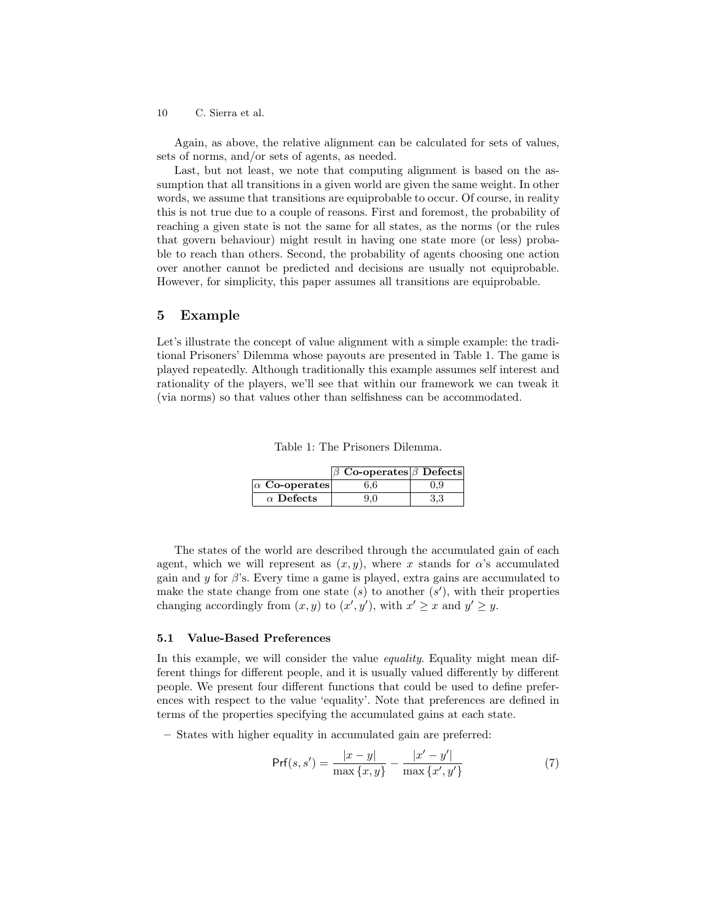Again, as above, the relative alignment can be calculated for sets of values, sets of norms, and/or sets of agents, as needed.

Last, but not least, we note that computing alignment is based on the assumption that all transitions in a given world are given the same weight. In other words, we assume that transitions are equiprobable to occur. Of course, in reality this is not true due to a couple of reasons. First and foremost, the probability of reaching a given state is not the same for all states, as the norms (or the rules that govern behaviour) might result in having one state more (or less) probable to reach than others. Second, the probability of agents choosing one action over another cannot be predicted and decisions are usually not equiprobable. However, for simplicity, this paper assumes all transitions are equiprobable.

# 5 Example

Let's illustrate the concept of value alignment with a simple example: the traditional Prisoners' Dilemma whose payouts are presented in Table 1. The game is played repeatedly. Although traditionally this example assumes self interest and rationality of the players, we'll see that within our framework we can tweak it (via norms) so that values other than selfishness can be accommodated.

|  | Table 1: The Prisoners Dilemma. |
|--|---------------------------------|
|  |                                 |

|                      | $\beta$ Co-operates $\beta$ Defects |     |
|----------------------|-------------------------------------|-----|
| $\alpha$ Co-operates | 6.6                                 | 0.9 |
| $\alpha$ Defects     | 9.0                                 | 3.3 |

The states of the world are described through the accumulated gain of each agent, which we will represent as  $(x, y)$ , where x stands for  $\alpha$ 's accumulated gain and y for  $\beta$ 's. Every time a game is played, extra gains are accumulated to make the state change from one state  $(s)$  to another  $(s')$ , with their properties changing accordingly from  $(x, y)$  to  $(x', y')$ , with  $x' \geq x$  and  $y' \geq y$ .

#### 5.1 Value-Based Preferences

In this example, we will consider the value *equality*. Equality might mean different things for different people, and it is usually valued differently by different people. We present four different functions that could be used to define preferences with respect to the value 'equality'. Note that preferences are defined in terms of the properties specifying the accumulated gains at each state.

– States with higher equality in accumulated gain are preferred:

$$
Prf(s, s') = \frac{|x - y|}{\max\{x, y\}} - \frac{|x' - y'|}{\max\{x', y'\}}
$$
(7)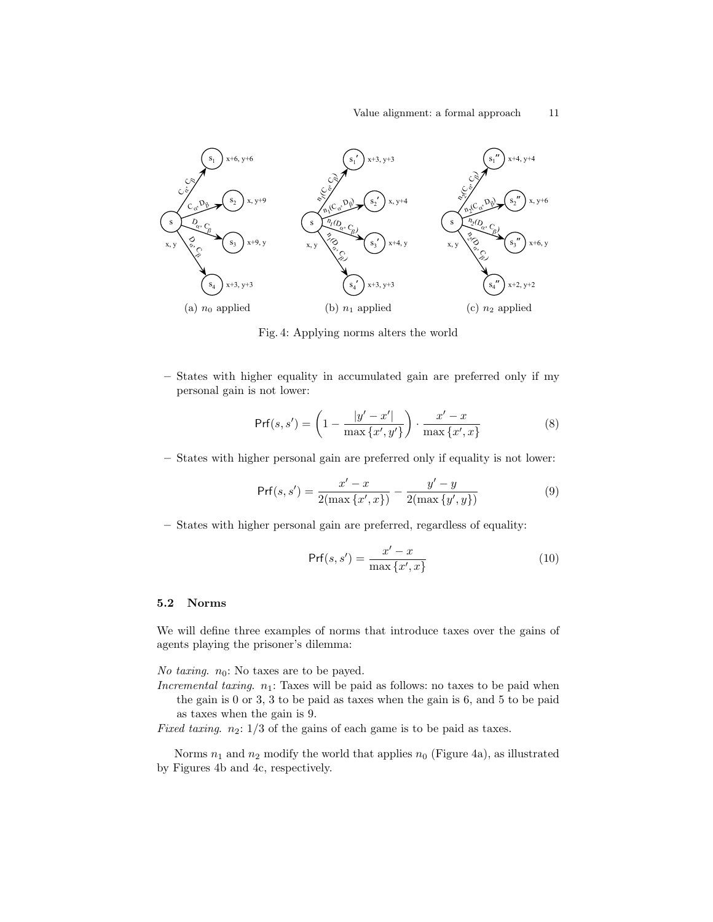

Fig. 4: Applying norms alters the world

– States with higher equality in accumulated gain are preferred only if my personal gain is not lower:

$$
Prf(s, s') = \left(1 - \frac{|y' - x'|}{\max\{x', y'\}}\right) \cdot \frac{x' - x}{\max\{x', x\}}\tag{8}
$$

– States with higher personal gain are preferred only if equality is not lower:

$$
\Pr(f(s, s') = \frac{x' - x}{2(\max\{x', x\})} - \frac{y' - y}{2(\max\{y', y\})}
$$
(9)

– States with higher personal gain are preferred, regardless of equality:

$$
Prf(s, s') = \frac{x' - x}{\max\{x', x\}}\tag{10}
$$

# 5.2 Norms

We will define three examples of norms that introduce taxes over the gains of agents playing the prisoner's dilemma:

No taxing.  $n_0$ : No taxes are to be payed.

- Incremental taxing.  $n_1$ : Taxes will be paid as follows: no taxes to be paid when the gain is 0 or 3, 3 to be paid as taxes when the gain is 6, and 5 to be paid as taxes when the gain is 9.
- Fixed taxing.  $n_2$ :  $1/3$  of the gains of each game is to be paid as taxes.

Norms  $n_1$  and  $n_2$  modify the world that applies  $n_0$  (Figure 4a), as illustrated by Figures 4b and 4c, respectively.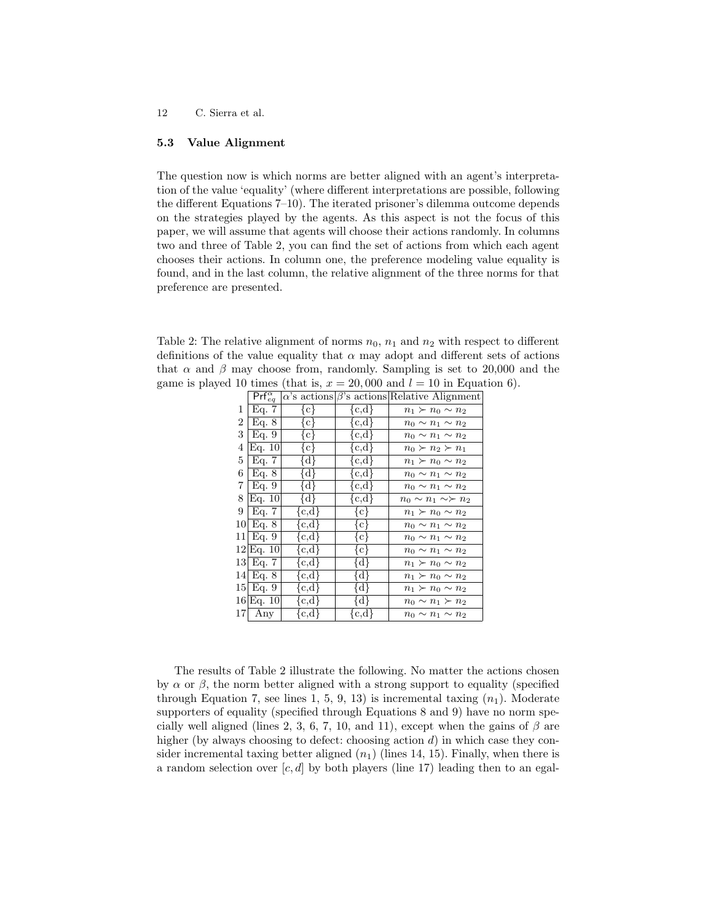# 5.3 Value Alignment

The question now is which norms are better aligned with an agent's interpretation of the value 'equality' (where different interpretations are possible, following the different Equations 7–10). The iterated prisoner's dilemma outcome depends on the strategies played by the agents. As this aspect is not the focus of this paper, we will assume that agents will choose their actions randomly. In columns two and three of Table 2, you can find the set of actions from which each agent chooses their actions. In column one, the preference modeling value equality is found, and in the last column, the relative alignment of the three norms for that preference are presented.

Table 2: The relative alignment of norms  $n_0$ ,  $n_1$  and  $n_2$  with respect to different definitions of the value equality that  $\alpha$  may adopt and different sets of actions that  $\alpha$  and  $\beta$  may choose from, randomly. Sampling is set to 20,000 and the game is played 10 times (that is,  $x = 20,000$  and  $l = 10$  in Equation 6).

|      | $Prf_{eq}^{\alpha}$ |                    |           | $\alpha$ 's actions $\beta$ 's actions Relative Alignment |
|------|---------------------|--------------------|-----------|-----------------------------------------------------------|
| 1    | Eq. $7$             | $\{c\}$            | ${c,d}$   | $n_1 \succ n_0 \sim n_2$                                  |
| 2    | Eq. 8               | $\{c\}$            | ${c,d}$   | $n_0 \sim n_1 \sim n_2$                                   |
| 3    | Eq. 9               | $\{c\}$            | ${c,d}$   | $n_0 \sim n_1 \sim n_2$                                   |
| 4    | Eq. 10              | {c}                | ${c,d}$   | $n_0 \succ n_2 \succ n_1$                                 |
| 5    | Eq. 7               | $\{d\}$            | ${c,d}$   | $n_1 \succ n_0 \sim n_2$                                  |
| 6    | Eq. 8               | ∤d∤                | ${c,d}$   | $n_0 \sim n_1 \sim n_2$                                   |
| 7    | Eq. 9               | $\{d\}$            | ${c,d}$   | $n_0 \sim n_1 \sim n_2$                                   |
| 8    | Eq. 10              | ∤d∤                | ${c,d}$   | $n_0 \sim n_1 \sim \succ n_2$                             |
| 9    | Eq. 7               | ${c,d}$            | $\{c\}$   | $n_1 \succ n_0 \sim n_2$                                  |
| 101  | Eq. 8               | $\{\mathrm{c,d}\}$ | ∤c∤       | $n_0 \sim n_1 \sim n_2$                                   |
| 11   | Eq. 9               | ${c,d}$            | ∤c∤       | $n_0 \sim n_1 \sim n_2$                                   |
|      | 12 Eq. 10           | ${c,d}$            | ∤c∤       | $n_0 \sim n_1 \sim n_2$                                   |
| 131  | Eq. 7               | ${c,d}$            | $\{d\}$   | $n_1 \succ n_0 \sim n_2$                                  |
| 14   | Eq. 8               | ${c,d}$            | {d}       | $n_1 \succ n_0 \sim n_2$                                  |
| 15 I | Eq. 9               | ${c,d}$            | {d}       | $n_1 \succ n_0 \sim n_2$                                  |
|      | 16 Eq. 10           | ${c,d}$            | $\{d\}$   | $n_0 \sim n_1 \succ n_2$                                  |
| 171  | Any                 | $\{c,d\}$          | $\{c,d\}$ | $n_0 \sim n_1 \sim n_2$                                   |

The results of Table 2 illustrate the following. No matter the actions chosen by  $\alpha$  or  $\beta$ , the norm better aligned with a strong support to equality (specified through Equation 7, see lines 1, 5, 9, 13) is incremental taxing  $(n_1)$ . Moderate supporters of equality (specified through Equations 8 and 9) have no norm specially well aligned (lines 2, 3, 6, 7, 10, and 11), except when the gains of  $\beta$  are higher (by always choosing to defect: choosing action  $d$ ) in which case they consider incremental taxing better aligned  $(n_1)$  (lines 14, 15). Finally, when there is a random selection over  $[c, d]$  by both players (line 17) leading then to an egal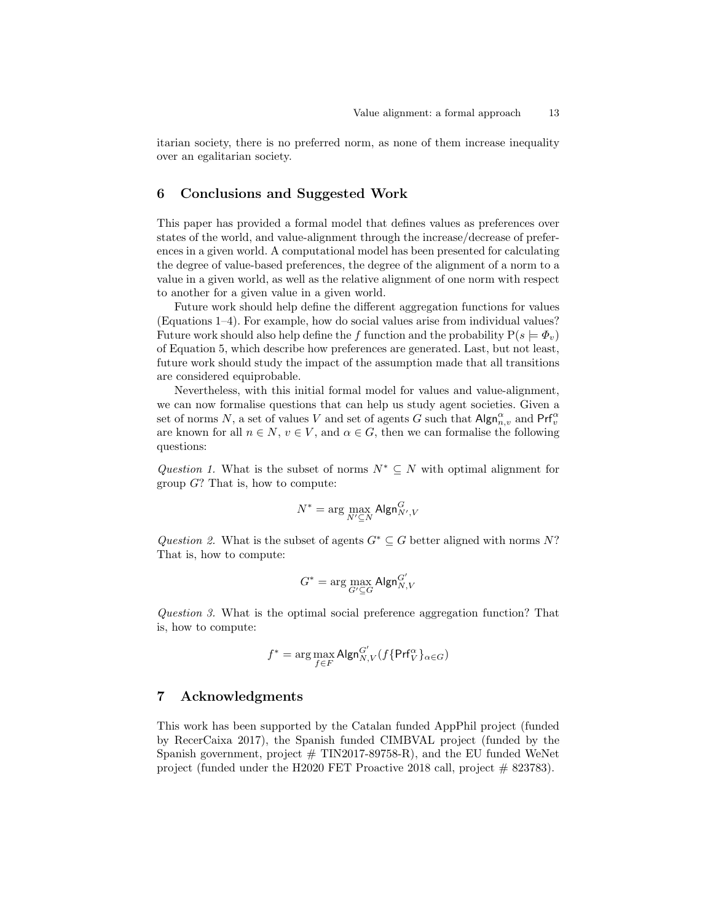itarian society, there is no preferred norm, as none of them increase inequality over an egalitarian society.

# 6 Conclusions and Suggested Work

This paper has provided a formal model that defines values as preferences over states of the world, and value-alignment through the increase/decrease of preferences in a given world. A computational model has been presented for calculating the degree of value-based preferences, the degree of the alignment of a norm to a value in a given world, as well as the relative alignment of one norm with respect to another for a given value in a given world.

Future work should help define the different aggregation functions for values (Equations 1–4). For example, how do social values arise from individual values? Future work should also help define the f function and the probability  $P(s \models \Phi_v)$ of Equation 5, which describe how preferences are generated. Last, but not least, future work should study the impact of the assumption made that all transitions are considered equiprobable.

Nevertheless, with this initial formal model for values and value-alignment, we can now formalise questions that can help us study agent societies. Given a set of norms N, a set of values V and set of agents G such that  $\mathsf{Algn}^\alpha_{n,v}$  and  $\mathsf{Prf}^\alpha_v$ are known for all  $n \in N$ ,  $v \in V$ , and  $\alpha \in G$ , then we can formalise the following questions:

Question 1. What is the subset of norms  $N^* \subseteq N$  with optimal alignment for group  $G$ ? That is, how to compute:

$$
N^* = \arg\max_{N' \subseteq N} \mathsf{Algn}^G_{N',V}
$$

Question 2. What is the subset of agents  $G^* \subseteq G$  better aligned with norms N? That is, how to compute:

$$
G^* = \arg\max_{G' \subseteq G} \mathsf{Algn}^{G'}_{N,V}
$$

Question 3. What is the optimal social preference aggregation function? That is, how to compute:

$$
f^* = \arg\max_{f \in F} \mathsf{Algn}_{N,V}^{G'}(f\{\mathsf{Prf}_V^{\alpha}\}_{\alpha \in G})
$$

# 7 Acknowledgments

This work has been supported by the Catalan funded AppPhil project (funded by RecerCaixa 2017), the Spanish funded CIMBVAL project (funded by the Spanish government, project  $#$  TIN2017-89758-R), and the EU funded WeNet project (funded under the H2020 FET Proactive 2018 call, project  $# 823783$ ).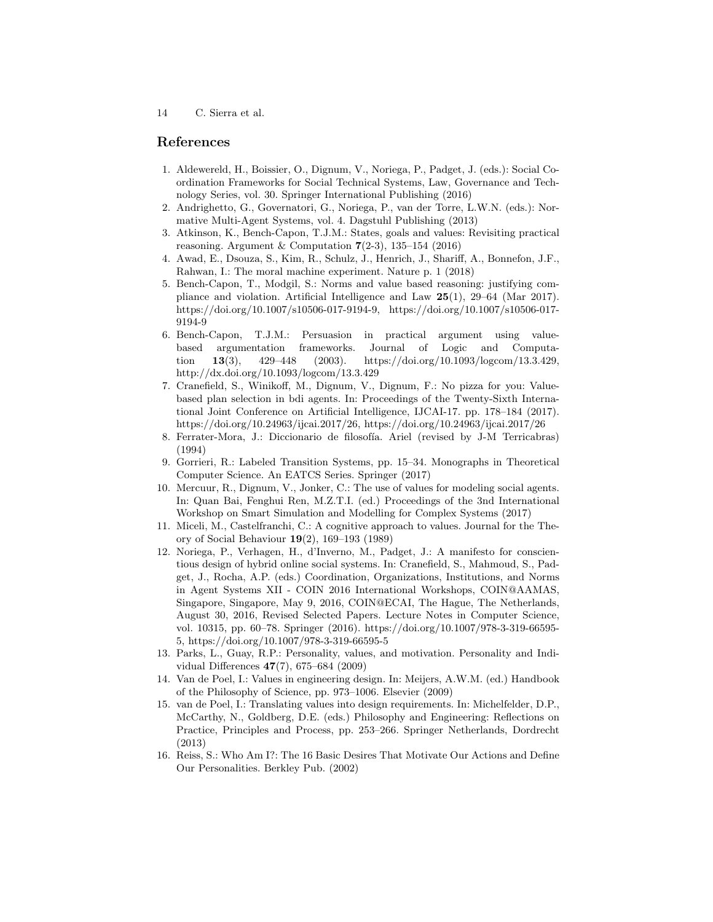# References

- 1. Aldewereld, H., Boissier, O., Dignum, V., Noriega, P., Padget, J. (eds.): Social Coordination Frameworks for Social Technical Systems, Law, Governance and Technology Series, vol. 30. Springer International Publishing (2016)
- 2. Andrighetto, G., Governatori, G., Noriega, P., van der Torre, L.W.N. (eds.): Normative Multi-Agent Systems, vol. 4. Dagstuhl Publishing (2013)
- 3. Atkinson, K., Bench-Capon, T.J.M.: States, goals and values: Revisiting practical reasoning. Argument & Computation  $7(2-3)$ , 135–154 (2016)
- 4. Awad, E., Dsouza, S., Kim, R., Schulz, J., Henrich, J., Shariff, A., Bonnefon, J.F., Rahwan, I.: The moral machine experiment. Nature p. 1 (2018)
- 5. Bench-Capon, T., Modgil, S.: Norms and value based reasoning: justifying compliance and violation. Artificial Intelligence and Law  $25(1)$ , 29–64 (Mar 2017). https://doi.org/10.1007/s10506-017-9194-9, https://doi.org/10.1007/s10506-017- 9194-9
- 6. Bench-Capon, T.J.M.: Persuasion in practical argument using valuebased argumentation frameworks. Journal of Logic and Computation 13(3), 429–448 (2003). https://doi.org/10.1093/logcom/13.3.429, http://dx.doi.org/10.1093/logcom/13.3.429
- 7. Cranefield, S., Winikoff, M., Dignum, V., Dignum, F.: No pizza for you: Valuebased plan selection in bdi agents. In: Proceedings of the Twenty-Sixth International Joint Conference on Artificial Intelligence, IJCAI-17. pp. 178–184 (2017). https://doi.org/10.24963/ijcai.2017/26, https://doi.org/10.24963/ijcai.2017/26
- 8. Ferrater-Mora, J.: Diccionario de filosofía. Ariel (revised by J-M Terricabras) (1994)
- 9. Gorrieri, R.: Labeled Transition Systems, pp. 15–34. Monographs in Theoretical Computer Science. An EATCS Series. Springer (2017)
- 10. Mercuur, R., Dignum, V., Jonker, C.: The use of values for modeling social agents. In: Quan Bai, Fenghui Ren, M.Z.T.I. (ed.) Proceedings of the 3nd International Workshop on Smart Simulation and Modelling for Complex Systems (2017)
- 11. Miceli, M., Castelfranchi, C.: A cognitive approach to values. Journal for the Theory of Social Behaviour 19(2), 169–193 (1989)
- 12. Noriega, P., Verhagen, H., d'Inverno, M., Padget, J.: A manifesto for conscientious design of hybrid online social systems. In: Cranefield, S., Mahmoud, S., Padget, J., Rocha, A.P. (eds.) Coordination, Organizations, Institutions, and Norms in Agent Systems XII - COIN 2016 International Workshops, COIN@AAMAS, Singapore, Singapore, May 9, 2016, COIN@ECAI, The Hague, The Netherlands, August 30, 2016, Revised Selected Papers. Lecture Notes in Computer Science, vol. 10315, pp. 60–78. Springer (2016). https://doi.org/10.1007/978-3-319-66595- 5, https://doi.org/10.1007/978-3-319-66595-5
- 13. Parks, L., Guay, R.P.: Personality, values, and motivation. Personality and Individual Differences 47(7), 675–684 (2009)
- 14. Van de Poel, I.: Values in engineering design. In: Meijers, A.W.M. (ed.) Handbook of the Philosophy of Science, pp. 973–1006. Elsevier (2009)
- 15. van de Poel, I.: Translating values into design requirements. In: Michelfelder, D.P., McCarthy, N., Goldberg, D.E. (eds.) Philosophy and Engineering: Reflections on Practice, Principles and Process, pp. 253–266. Springer Netherlands, Dordrecht (2013)
- 16. Reiss, S.: Who Am I?: The 16 Basic Desires That Motivate Our Actions and Define Our Personalities. Berkley Pub. (2002)